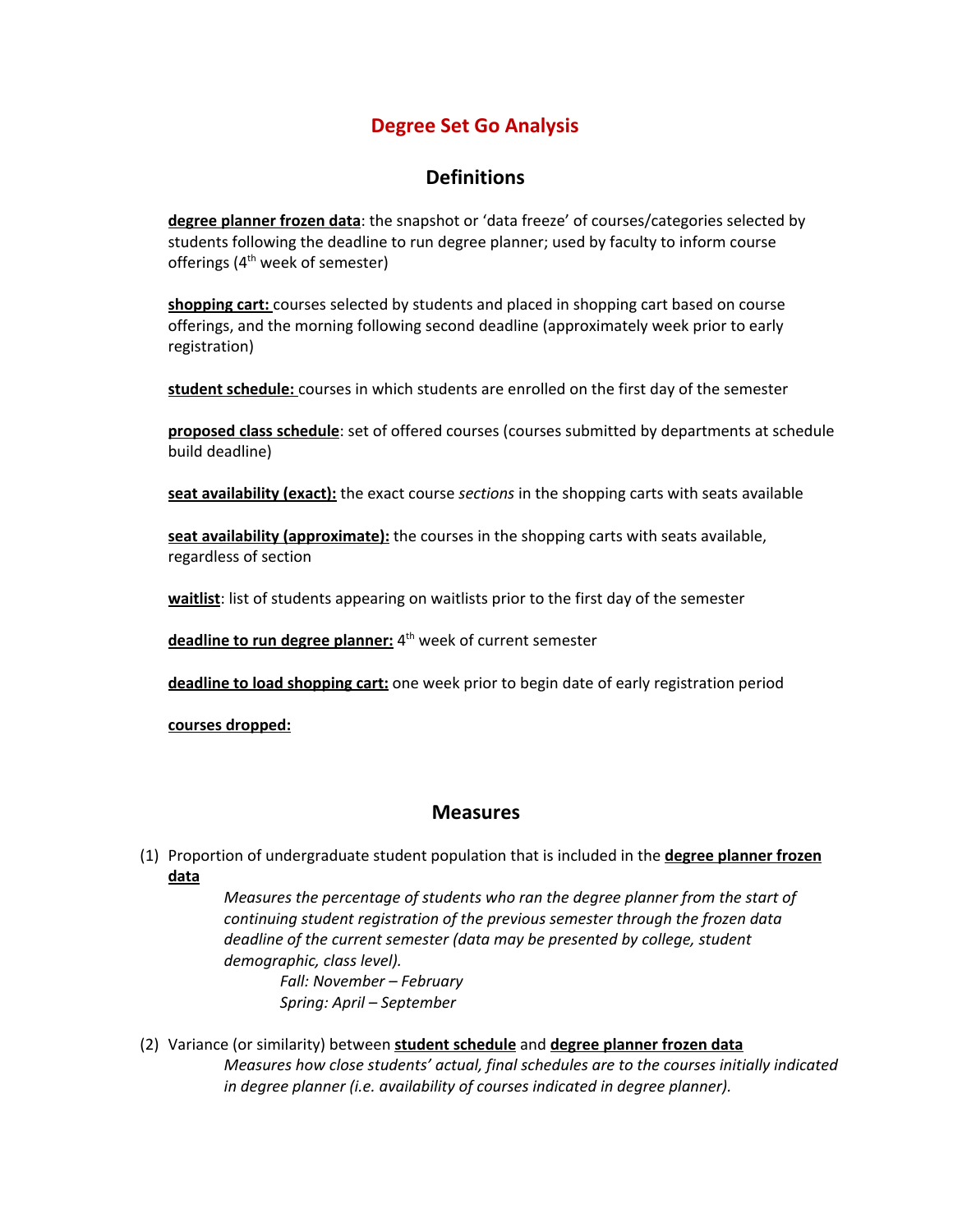## **Degree Set Go Analysis**

## **Definitions**

**degree planner frozen data**: the snapshot or 'data freeze' of courses/categories selected by students following the deadline to run degree planner; used by faculty to inform course offerings (4<sup>th</sup> week of semester)

**shopping cart:** courses selected by students and placed in shopping cart based on course offerings, and the morning following second deadline (approximately week prior to early registration)

**student schedule:** courses in which students are enrolled on the first day of the semester

**proposed class schedule**: set of offered courses (courses submitted by departments at schedule build deadline)

**seat availability (exact):** the exact course *sections* in the shopping carts with seats available

**seat availability (approximate):** the courses in the shopping carts with seats available, regardless of section

**waitlist**: list of students appearing on waitlists prior to the first day of the semester

**deadline to run degree planner:** 4 th week of current semester

**deadline to load shopping cart:** one week prior to begin date of early registration period

**courses dropped:**

## **Measures**

(1) Proportion of undergraduate student population that is included in the **degree planner frozen data**

> *Measures the percentage of students who ran the degree planner from the start of continuing student registration of the previous semester through the frozen data deadline of the current semester (data may be presented by college, student demographic, class level). Fall: November – February*

*Spring: April – September*

(2) Variance (or similarity) between **student schedule** and **degree planner frozen data** *Measures how close students' actual, final schedules are to the courses initially indicated in degree planner (i.e. availability of courses indicated in degree planner).*